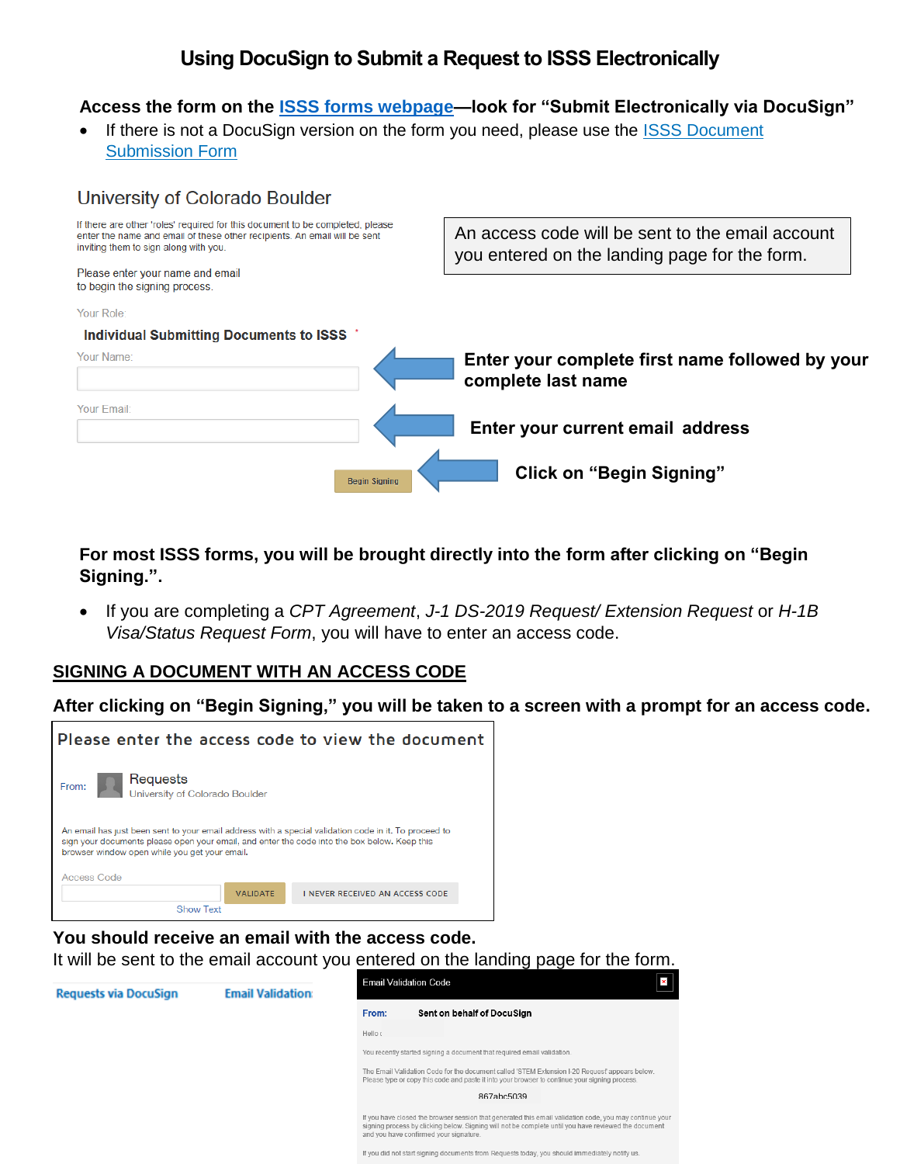# **Using DocuSign to Submit a Request to ISSS Electronically**

### **Access the form on the [ISSS forms webpage—](http://www.colorado.edu/isss/content/forms-handouts)look for "Submit Electronically via DocuSign"**

If there is not a DocuSign version on the form you need, please use the ISSS [Document](https://na2.docusign.net/Member/PowerFormSigning.aspx?PowerFormId=3e7b9134-b12f-4e38-8a16-0603bc83e18f) [Submission](https://na2.docusign.net/Member/PowerFormSigning.aspx?PowerFormId=3e7b9134-b12f-4e38-8a16-0603bc83e18f) Form

| University of Colorado Boulder                                                                                                                                                                      |                                                                                                   |
|-----------------------------------------------------------------------------------------------------------------------------------------------------------------------------------------------------|---------------------------------------------------------------------------------------------------|
| If there are other 'roles' required for this document to be completed, please<br>enter the name and email of these other recipients. An email will be sent<br>inviting them to sign along with you. | An access code will be sent to the email account<br>you entered on the landing page for the form. |
| Please enter your name and email<br>to begin the signing process.                                                                                                                                   |                                                                                                   |
| Your Role:                                                                                                                                                                                          |                                                                                                   |
| <b>Individual Submitting Documents to ISSS</b>                                                                                                                                                      |                                                                                                   |
| Your Name:                                                                                                                                                                                          | Enter your complete first name followed by your<br>complete last name                             |
| Your Email:                                                                                                                                                                                         | Enter your current email address                                                                  |
| <b>Beain Signing</b>                                                                                                                                                                                | <b>Click on "Begin Signing"</b>                                                                   |

**For most ISSS forms, you will be brought directly into the form after clicking on "Begin Signing.".**

 If you are completing a *CPT Agreement*, *J-1 DS-2019 Request/ Extension Request* or *H-1B Visa/Status Request Form*, you will have to enter an access code.

### **SIGNING A DOCUMENT WITH AN ACCESS CODE**

#### **After clicking on "Begin Signing," you will be taken to a screen with a prompt for an access code.**



**You should receive an email with the access code.**

It will be sent to the email account you entered on the landing page for the form.



If you did not start signing documents from Requests today, you should immediately notify us.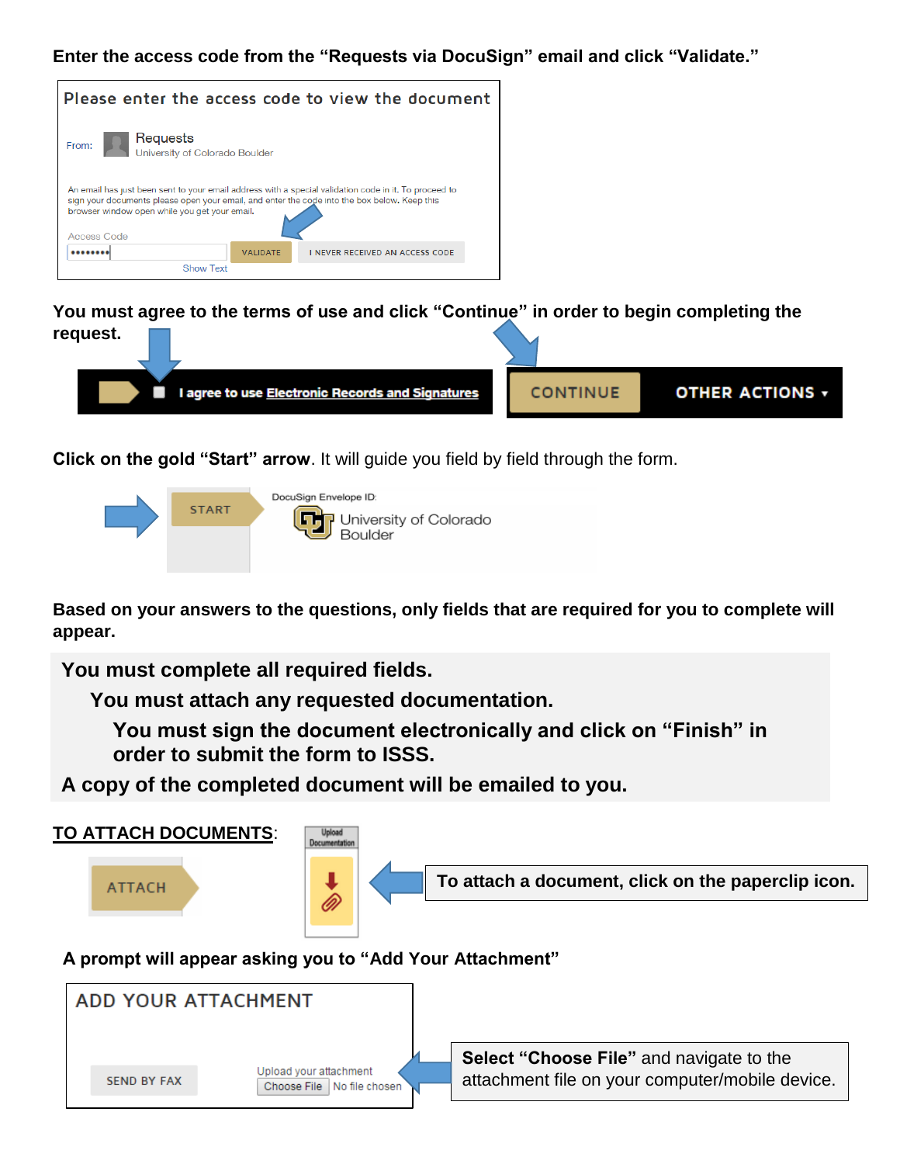**Enter the access code from the "Requests via DocuSign" email and click "Validate."**



**You must agree to the terms of use and click "Continue" in order to begin completing the request.**



**Click on the gold "Start" arrow**. It will guide you field by field through the form.



**Based on your answers to the questions, only fields that are required for you to complete will appear.** 

**You must complete all required fields.**

 **You must attach any requested documentation.**

 **You must sign the document electronically and click on "Finish" in order to submit the form to ISSS.** 

**A copy of the completed document will be emailed to you.**



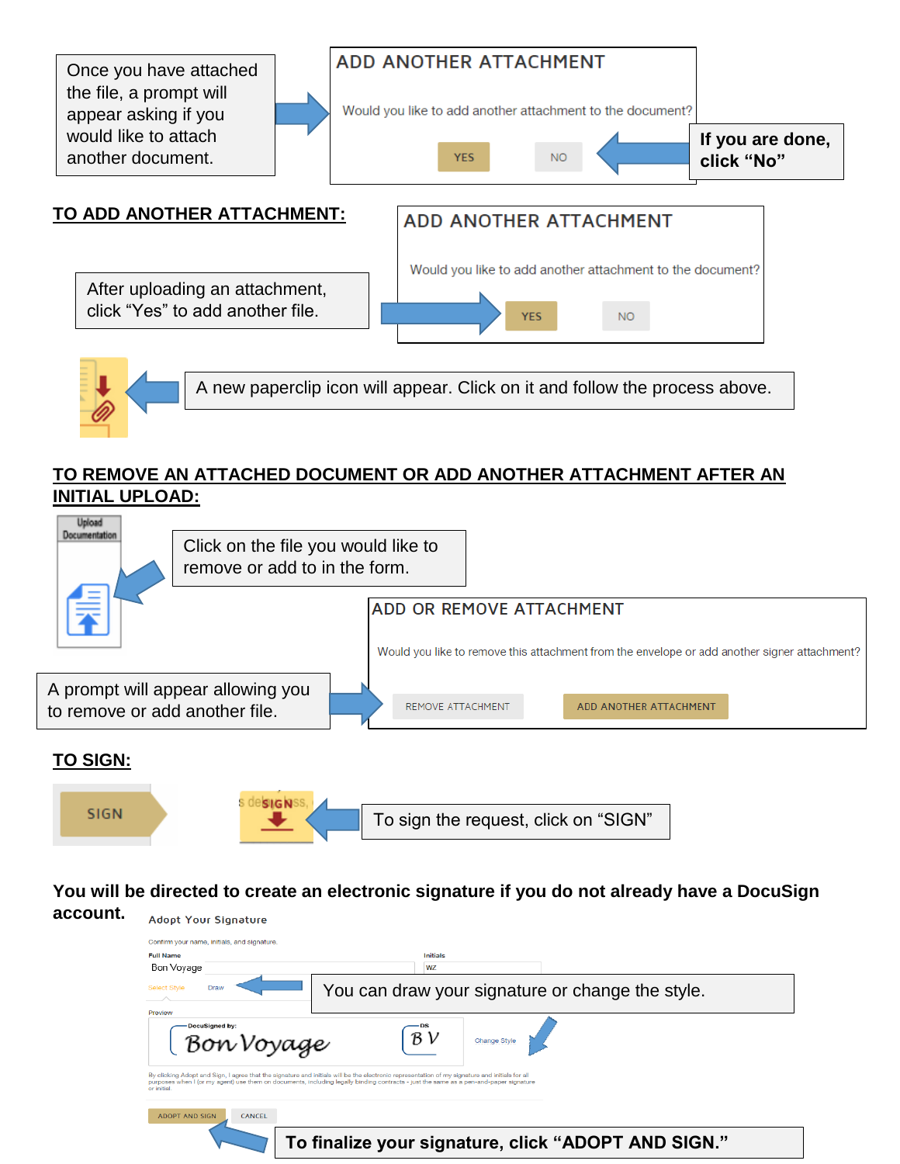

A new paperclip icon will appear. Click on it and follow the process above.

## **TO REMOVE AN ATTACHED DOCUMENT OR ADD ANOTHER ATTACHMENT AFTER AN INITIAL UPLOAD:**



# **TO SIGN:**



**You will be directed to create an electronic signature if you do not already have a DocuSign**